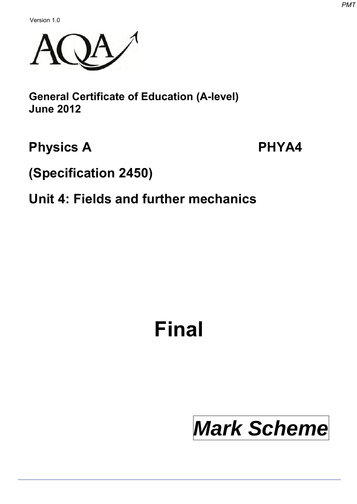Version 1.0



**General Certificate of Education (A-level) June 2012**

# **Physics A**

**PHYA4**

**(Specification 2450)**

# **Unit 4: Fields and further mechanics**

# **Final**

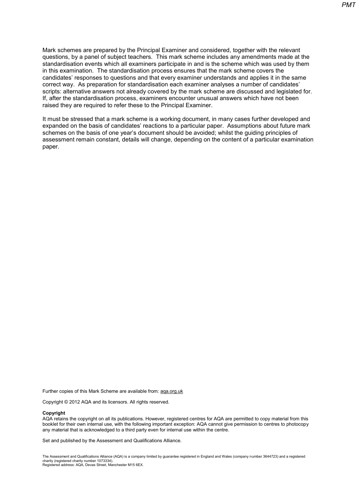Mark schemes are prepared by the Principal Examiner and considered, together with the relevant questions, by a panel of subject teachers. This mark scheme includes any amendments made at the standardisation events which all examiners participate in and is the scheme which was used by them in this examination. The standardisation process ensures that the mark scheme covers the candidates' responses to questions and that every examiner understands and applies it in the same correct way. As preparation for standardisation each examiner analyses a number of candidates' scripts: alternative answers not already covered by the mark scheme are discussed and legislated for. If, after the standardisation process, examiners encounter unusual answers which have not been raised they are required to refer these to the Principal Examiner.

It must be stressed that a mark scheme is a working document, in many cases further developed and expanded on the basis of candidates' reactions to a particular paper. Assumptions about future mark schemes on the basis of one year's document should be avoided; whilst the guiding principles of assessment remain constant, details will change, depending on the content of a particular examination paper.

Further copies of this Mark Scheme are available from[: aqa.org.uk](http://www.aqa.org.uk/)

Copyright © 2012 AQA and its licensors. All rights reserved.

#### **Copyright**

AQA retains the copyright on all its publications. However, registered centres for AQA are permitted to copy material from this booklet for their own internal use, with the following important exception: AQA cannot give permission to centres to photocopy any material that is acknowledged to a third party even for internal use within the centre.

Set and published by the Assessment and Qualifications Alliance.

The Assessment and Qualifications Alliance (AQA) is a company limited by guarantee registered in England and Wales (company number 3644723) and a registered charity (registered charity number 1073334). Registered address: AQA, Devas Street, Manchester M15 6EX.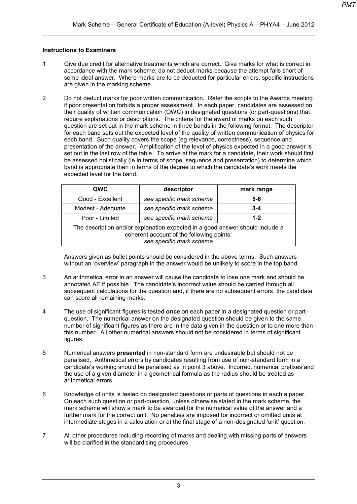#### **Instructions to Examiners**

- 1 Give due credit for alternative treatments which are correct. Give marks for what is correct in accordance with the mark scheme; do not deduct marks because the attempt falls short of some ideal answer. Where marks are to be deducted for particular errors, specific instructions are given in the marking scheme.
- 2 Do not deduct marks for poor written communication. Refer the scripts to the Awards meeting if poor presentation forbids a proper assessment. In each paper, candidates are assessed on their quality of written communication (QWC) in designated questions (or part-questions) that require explanations or descriptions. The criteria for the award of marks on each such question are set out in the mark scheme in three bands in the following format. The descriptor for each band sets out the expected level of the quality of written communication of physics for each band. Such quality covers the scope (eg relevance, correctness), sequence and presentation of the answer. Amplification of the level of physics expected in a good answer is set out in the last row of the table. To arrive at the mark for a candidate, their work should first be assessed holistically (ie in terms of scope, sequence and presentation) to determine which band is appropriate then in terms of the degree to which the candidate's work meets the expected level for the band.

| QWC                                                                                                                                                    | descriptor               | mark range |  |  |  |
|--------------------------------------------------------------------------------------------------------------------------------------------------------|--------------------------|------------|--|--|--|
| Good - Excellent                                                                                                                                       | see specific mark scheme | $5 - 6$    |  |  |  |
| Modest - Adequate                                                                                                                                      | see specific mark scheme | $3 - 4$    |  |  |  |
| Poor - Limited                                                                                                                                         | see specific mark scheme | $1 - 2$    |  |  |  |
| The description and/or explanation expected in a good answer should include a<br>coherent account of the following points:<br>see specific mark scheme |                          |            |  |  |  |

Answers given as bullet points should be considered in the above terms. Such answers without an 'overview' paragraph in the answer would be unlikely to score in the top band.

- 3 An arithmetical error in an answer will cause the candidate to lose one mark and should be annotated AE if possible. The candidate's incorrect value should be carried through all subsequent calculations for the question and, if there are no subsequent errors, the candidate can score all remaining marks.
- 4 The use of significant figures is tested **once** on each paper in a designated question or partquestion. The numerical answer on the designated question should be given to the same number of significant figures as there are in the data given in the question or to one more than this number. All other numerical answers should not be considered in terms of significant figures.
- 5 Numerical answers **presented** in non-standard form are undesirable but should not be penalised. Arithmetical errors by candidates resulting from use of non-standard form in a candidate's working should be penalised as in point 3 above. Incorrect numerical prefixes and the use of a given diameter in a geometrical formula as the radius should be treated as arithmetical errors.
- 6 Knowledge of units is tested on designated questions or parts of questions in each a paper. On each such question or part-question, unless otherwise stated in the mark scheme, the mark scheme will show a mark to be awarded for the numerical value of the answer and a further mark for the correct unit. No penalties are imposed for incorrect or omitted units at intermediate stages in a calculation or at the final stage of a non-designated 'unit' question.
- 7 All other procedures including recording of marks and dealing with missing parts of answers will be clarified in the standardising procedures.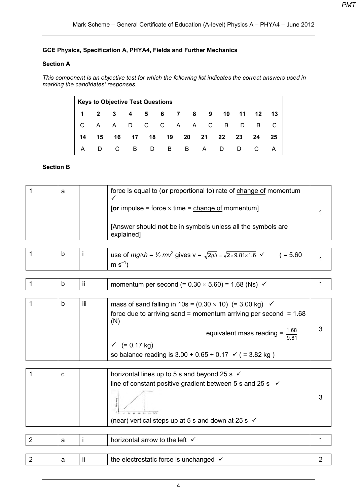## **GCE Physics, Specification A, PHYA4, Fields and Further Mechanics**

## **Section A**

*This component is an objective test for which the following list indicates the correct answers used in marking the candidates' responses.* 

|   | <b>Keys to Objective Test Questions</b> |     |                                |  |     |  |  |  |                           |  |                |  |
|---|-----------------------------------------|-----|--------------------------------|--|-----|--|--|--|---------------------------|--|----------------|--|
|   |                                         |     | 1 2 3 4 5 6 7 8 9              |  |     |  |  |  |                           |  | 10 11 12 13    |  |
|   |                                         |     |                                |  |     |  |  |  | C A A D C C A A C B D B C |  |                |  |
|   |                                         |     | 14  15  16  17  18  19  20  21 |  |     |  |  |  |                           |  | 22 23 24 25    |  |
| A |                                         | D C | $\overline{B}$                 |  | D B |  |  |  | B A D D                   |  | $\overline{C}$ |  |

### **Section B**

| $\mathbf 1$    | a |     | force is equal to (or proportional to) rate of change of momentum<br>[or impulse = force $\times$ time = change of momentum]<br>[Answer should not be in symbols unless all the symbols are<br>explained]                                                                                                |                |
|----------------|---|-----|----------------------------------------------------------------------------------------------------------------------------------------------------------------------------------------------------------------------------------------------------------------------------------------------------------|----------------|
| 1              | b | j.  | use of $mg\Delta h = \frac{1}{2}mv^2$ gives $v = \sqrt{2gh} = \sqrt{2 \times 9.81 \times 1.6}$ $\checkmark$<br>$( = 5.60)$<br>$m s^{-1}$                                                                                                                                                                 | 1              |
|                |   |     |                                                                                                                                                                                                                                                                                                          |                |
| $\mathbf{1}$   | b | ii. | momentum per second (= $0.30 \times 5.60$ ) = 1.68 (Ns) $\checkmark$                                                                                                                                                                                                                                     | $\mathbf{1}$   |
|                |   |     |                                                                                                                                                                                                                                                                                                          |                |
| 1              | b | iii | mass of sand falling in 10s = $(0.30 \times 10)$ (= 3.00 kg) $\checkmark$<br>force due to arriving sand = momentum arriving per second = $1.68$<br>(N)<br>equivalent mass reading = $\frac{1.68}{9.81}$<br>$\checkmark$ (= 0.17 kg)<br>so balance reading is $3.00 + 0.65 + 0.17 \leq (3.82 \text{ kg})$ | 3              |
|                |   |     |                                                                                                                                                                                                                                                                                                          |                |
| $\mathbf{1}$   | C |     | horizontal lines up to 5 s and beyond 25 s $\checkmark$<br>line of constant positive gradient between 5 s and 25 s $\checkmark$<br>(near) vertical steps up at 5 s and down at 25 s $\checkmark$                                                                                                         | 3              |
|                |   |     |                                                                                                                                                                                                                                                                                                          |                |
| $\overline{2}$ | a | Ť   | horizontal arrow to the left √                                                                                                                                                                                                                                                                           | 1              |
|                |   |     |                                                                                                                                                                                                                                                                                                          |                |
| $\overline{2}$ | a | ii  | the electrostatic force is unchanged √                                                                                                                                                                                                                                                                   | $\overline{2}$ |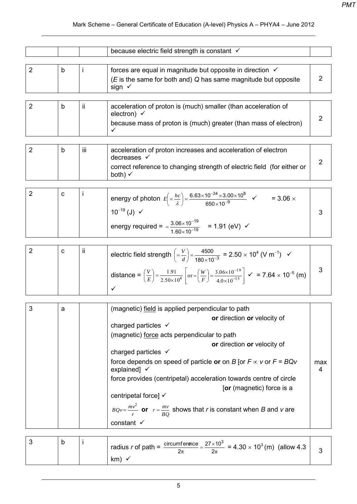|                |             |            | because electric field strength is constant √                                                                                                                                                                                                                                                                                                                                                                                                                                                                                                                                             |                |
|----------------|-------------|------------|-------------------------------------------------------------------------------------------------------------------------------------------------------------------------------------------------------------------------------------------------------------------------------------------------------------------------------------------------------------------------------------------------------------------------------------------------------------------------------------------------------------------------------------------------------------------------------------------|----------------|
| $\overline{2}$ | b           | Ť          | forces are equal in magnitude but opposite in direction $\checkmark$<br>$(E$ is the same for both and) Q has same magnitude but opposite<br>sign √                                                                                                                                                                                                                                                                                                                                                                                                                                        | $\overline{2}$ |
| $\overline{2}$ | b           | ii.        | acceleration of proton is (much) smaller (than acceleration of<br>electron) $\checkmark$<br>because mass of proton is (much) greater (than mass of electron)<br>✓                                                                                                                                                                                                                                                                                                                                                                                                                         | $\overline{2}$ |
| $\overline{2}$ | b           | <b>iii</b> | acceleration of proton increases and acceleration of electron<br>decreases √<br>correct reference to changing strength of electric field (for either or<br>both) $\checkmark$                                                                                                                                                                                                                                                                                                                                                                                                             | $\overline{2}$ |
| $\overline{2}$ | $\mathbf C$ |            | energy of photon $E\left( = \frac{hc}{\lambda} \right) = \frac{6.63 \times 10^{-34} \times 3.00 \times 10^8}{650 \times 10^{-9}}$ $\checkmark$<br>$=$ 3.06 $\times$<br>$10^{-19}$ (J) $\checkmark$<br>energy required = $=\frac{3.06 \times 10^{-19}}{1.60 \times 10^{-19}}$ = 1.91 (eV) $\checkmark$                                                                                                                                                                                                                                                                                     | 3              |
| $\overline{2}$ | C           | ij.        | electric field strength $\left(=\frac{V}{d}\right) = \frac{4500}{180 \times 10^{-3}} = 2.50 \times 10^{4}$ (V m <sup>-1</sup> ) $\checkmark$<br>distance = $\left(\frac{V}{E}\right) = \frac{1.91}{2.50 \times 10^4}$ or $=\left(\frac{W}{F}\right) = \frac{3.06 \times 10^{-19}}{4.0 \times 10^{-15}}$ $\checkmark$ = 7.64 $\times$ 10 <sup>-5</sup> (m)<br>✓                                                                                                                                                                                                                            | 3              |
| 3              | a           |            | (magnetic) field is applied perpendicular to path<br>or direction or velocity of<br>charged particles $\checkmark$<br>(magnetic) force acts perpendicular to path<br>or direction or velocity of<br>charged particles $\checkmark$<br>force depends on speed of particle or on B [or $F \propto v$ or $F = BQv$<br>explained] $\checkmark$<br>force provides (centripetal) acceleration towards centre of circle<br>[or (magnetic) force is a<br>centripetal force] √<br>$BQv = \frac{mv^2}{r}$ or $r = \frac{mv}{BO}$ shows that r is constant when B and v are<br>constant $\checkmark$ | max<br>4       |

|  | oth – $\frac{\text{circumference}}{\text{under}} = \frac{27 \times 10^3}{100} = 4.30 \times 10^3 \, \text{(m)}$ (allow 4.3 <sup> </sup><br>radius $r$ of path = |  |
|--|-----------------------------------------------------------------------------------------------------------------------------------------------------------------|--|
|  | km)                                                                                                                                                             |  |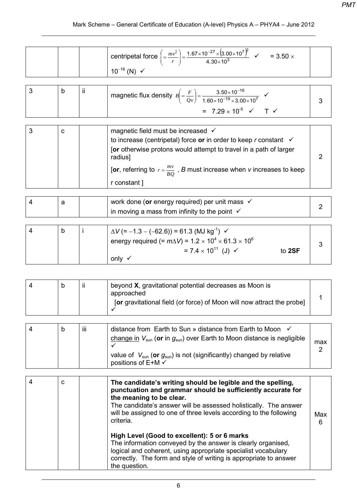# Mark Scheme – General Certificate of Education (A-level) Physics A – PHYA4 – June 2012

|  | centripetal force $\left( = \frac{mv^2}{m} \right) = \frac{1.67 \times 10^{-27} \times (3.00 \times 10^7)}{1.60 \times 10^7}$<br>$=$ 3.50 $\times$<br>$4.30\times10^3$ |  |
|--|------------------------------------------------------------------------------------------------------------------------------------------------------------------------|--|
|  | $10^{-16}$ (N)                                                                                                                                                         |  |

|  | ij | magnetic flux density $B\left( = \frac{F}{Qv} \right) = \frac{3.50 \times 10^{-16}}{1.60 \times 10^{-19} \times 3.00 \times 10^7}$ |  |
|--|----|------------------------------------------------------------------------------------------------------------------------------------|--|
|  |    | = $7.29 \times 10^{-5}$ $\checkmark$ T $\checkmark$                                                                                |  |

| C | magnetic field must be increased √                                                  |  |
|---|-------------------------------------------------------------------------------------|--|
|   | to increase (centripetal) force or in order to keep r constant $\checkmark$         |  |
|   | <b>[or</b> otherwise protons would attempt to travel in a path of larger<br>radius] |  |
|   | [or, referring to $r = \frac{mv}{BQ}$ , B must increase when v increases to keep    |  |
|   | r constant ]                                                                        |  |

| а | work done (or energy required) per unit mass $\checkmark$<br>in moving a mass from infinity to the point $\checkmark$ |  |
|---|-----------------------------------------------------------------------------------------------------------------------|--|
|   |                                                                                                                       |  |
|   | $\Delta V$ (= -1.3 – (-62.6)) = 61.3 (MJ kg <sup>-1</sup> ) $\checkmark$                                              |  |

|  | $^{\rm l}$ energy required (= $m\Delta{\rm V}$ ) = 1.2 $\times$ 10 $^4$ $\times$ 61.3 $\times$ 10 $^6$ |  |
|--|--------------------------------------------------------------------------------------------------------|--|
|  | = 7.4 $\times$ 10 <sup>11</sup> (J) $\checkmark$<br>to 2SF                                             |  |
|  | only √                                                                                                 |  |

|  |  | b | Ш | beyond X, gravitational potential decreases as Moon is<br>approached<br>[or gravitational field (or force) of Moon will now attract the probe] |  |
|--|--|---|---|------------------------------------------------------------------------------------------------------------------------------------------------|--|
|--|--|---|---|------------------------------------------------------------------------------------------------------------------------------------------------|--|

| iii<br>distance from Earth to Sun » distance from Earth to Moon ✓<br>b<br>change in $V_{sun}$ (or in $g_{sun}$ ) over Earth to Moon distance is negligible<br>value of $V_{sun}$ (or $g_{sun}$ ) is not (significantly) changed by relative<br>positions of $E+M \checkmark$ | max |
|------------------------------------------------------------------------------------------------------------------------------------------------------------------------------------------------------------------------------------------------------------------------------|-----|
|------------------------------------------------------------------------------------------------------------------------------------------------------------------------------------------------------------------------------------------------------------------------------|-----|

| 4 | C | The candidate's writing should be legible and the spelling,<br>punctuation and grammar should be sufficiently accurate for<br>the meaning to be clear.<br>The candidate's answer will be assessed holistically. The answer<br>will be assigned to one of three levels according to the following<br>criteria. | Max<br>6 |
|---|---|---------------------------------------------------------------------------------------------------------------------------------------------------------------------------------------------------------------------------------------------------------------------------------------------------------------|----------|
|   |   | High Level (Good to excellent): 5 or 6 marks<br>The information conveyed by the answer is clearly organised,<br>logical and coherent, using appropriate specialist vocabulary<br>correctly. The form and style of writing is appropriate to answer<br>the question.                                           |          |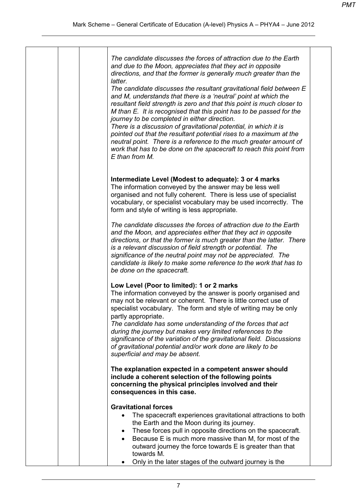| The candidate discusses the forces of attraction due to the Earth<br>and due to the Moon, appreciates that they act in opposite<br>directions, and that the former is generally much greater than the<br>latter.<br>The candidate discusses the resultant gravitational field between E<br>and M, understands that there is a 'neutral' point at which the<br>resultant field strength is zero and that this point is much closer to<br>M than E. It is recognised that this point has to be passed for the<br>journey to be completed in either direction.<br>There is a discussion of gravitational potential, in which it is<br>pointed out that the resultant potential rises to a maximum at the<br>neutral point. There is a reference to the much greater amount of<br>work that has to be done on the spacecraft to reach this point from<br>E than from M. |
|---------------------------------------------------------------------------------------------------------------------------------------------------------------------------------------------------------------------------------------------------------------------------------------------------------------------------------------------------------------------------------------------------------------------------------------------------------------------------------------------------------------------------------------------------------------------------------------------------------------------------------------------------------------------------------------------------------------------------------------------------------------------------------------------------------------------------------------------------------------------|
| Intermediate Level (Modest to adequate): 3 or 4 marks<br>The information conveyed by the answer may be less well<br>organised and not fully coherent. There is less use of specialist<br>vocabulary, or specialist vocabulary may be used incorrectly. The<br>form and style of writing is less appropriate.                                                                                                                                                                                                                                                                                                                                                                                                                                                                                                                                                        |
| The candidate discusses the forces of attraction due to the Earth<br>and the Moon, and appreciates either that they act in opposite<br>directions, or that the former is much greater than the latter. There<br>is a relevant discussion of field strength or potential. The<br>significance of the neutral point may not be appreciated. The<br>candidate is likely to make some reference to the work that has to<br>be done on the spacecraft.                                                                                                                                                                                                                                                                                                                                                                                                                   |
| Low Level (Poor to limited): 1 or 2 marks<br>The information conveyed by the answer is poorly organised and<br>may not be relevant or coherent. There is little correct use of<br>specialist vocabulary. The form and style of writing may be only<br>partly appropriate.<br>The candidate has some understanding of the forces that act<br>during the journey but makes very limited references to the<br>significance of the variation of the gravitational field. Discussions<br>of gravitational potential and/or work done are likely to be<br>superficial and may be absent.                                                                                                                                                                                                                                                                                  |
| The explanation expected in a competent answer should<br>include a coherent selection of the following points<br>concerning the physical principles involved and their<br>consequences in this case.                                                                                                                                                                                                                                                                                                                                                                                                                                                                                                                                                                                                                                                                |
| <b>Gravitational forces</b><br>The spacecraft experiences gravitational attractions to both<br>the Earth and the Moon during its journey.<br>These forces pull in opposite directions on the spacecraft.<br>٠<br>Because E is much more massive than M, for most of the<br>outward journey the force towards E is greater than that<br>towards M.<br>Only in the later stages of the outward journey is the                                                                                                                                                                                                                                                                                                                                                                                                                                                         |